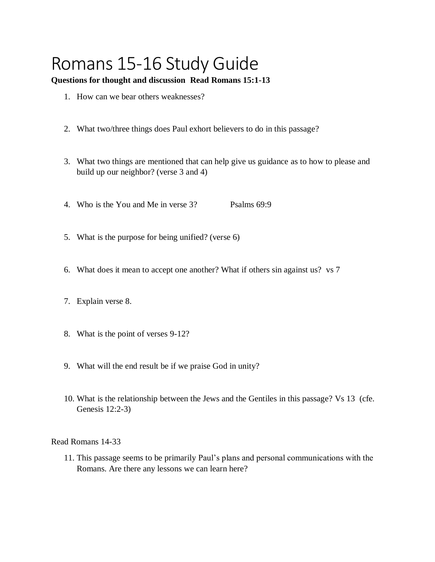## Romans 15-16 Study Guide

## **Questions for thought and discussion Read Romans 15:1-13**

- 1. How can we bear others weaknesses?
- 2. What two/three things does Paul exhort believers to do in this passage?
- 3. What two things are mentioned that can help give us guidance as to how to please and build up our neighbor? (verse 3 and 4)
- 4. Who is the You and Me in verse 3? Psalms 69:9
- 5. What is the purpose for being unified? (verse 6)
- 6. What does it mean to accept one another? What if others sin against us? vs 7
- 7. Explain verse 8.
- 8. What is the point of verses 9-12?
- 9. What will the end result be if we praise God in unity?
- 10. What is the relationship between the Jews and the Gentiles in this passage? Vs 13 (cfe. Genesis 12:2-3)

Read Romans 14-33

11. This passage seems to be primarily Paul's plans and personal communications with the Romans. Are there any lessons we can learn here?